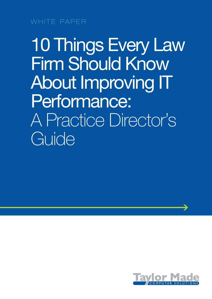WHITE PAPER

10 Things Every Law Firm Should Know About Improving IT Performance: A Practice Director's Guide

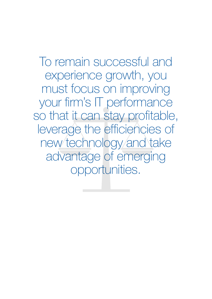To remain successful and experience growth, you must focus on improving your firm's IT performance so that it can stay profitable, leverage the efficiencies of new technology and take advantage of emerging opportunities.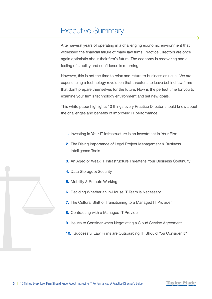### Executive Summary

After several years of operating in a challenging economic environment that witnessed the financial failure of many law firms, Practice Directors are once again optimistic about their firm's future. The economy is recovering and a feeling of stability and confidence is returning.

However, this is not the time to relax and return to business as usual. We are experiencing a technology revolution that threatens to leave behind law firms that don't prepare themselves for the future. Now is the perfect time for you to examine your firm's technology environment and set new goals.

This white paper highlights 10 things every Practice Director should know about the challenges and benefits of improving IT performance:

- 1. Investing in Your IT Infrastructure is an Investment in Your Firm
- 2. The Rising Importance of Legal Project Management & Business Intelligence Tools
- **3.** An Aged or Weak IT Infrastructure Threatens Your Business Continuity
- 4. Data Storage & Security
- 5. Mobility & Remote Working
- 6. Deciding Whether an In-House IT Team is Necessary
- 7. The Cultural Shift of Transitioning to a Managed IT Provider
- 8. Contracting with a Managed IT Provider
- **9.** Issues to Consider when Negotiating a Cloud Service Agreement
- 10. Successful Law Firms are Outsourcing IT, Should You Consider It?

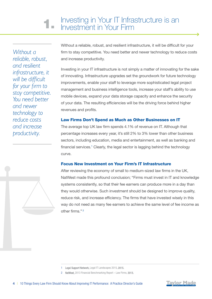Investing in Your IT Infrastructure is an<br>Investment in Your Firm

*Without a reliable, robust, and resilient infrastructure, it will be difficult for your firm to stay competitive. You need better and newer technology to reduce costs and increase productivity.*

Without a reliable, robust, and resilient infrastructure, it will be difficult for your firm to stay competitive. You need better and newer technology to reduce costs and increase productivity.

Investing in your IT infrastructure is not simply a matter of innovating for the sake of innovating. Infrastructure upgrades set the groundwork for future technology improvements, enable your staff to leverage more sophisticated legal project management and business intelligence tools, increase your staff's ability to use mobile devices, expand your data storage capacity and enhance the security of your data. The resulting efficiencies will be the driving force behind higher revenues and profits.

### Law Firms Don't Spend as Much as Other Businesses on IT

The average top UK law firm spends 4.1% of revenue on IT. Although that percentage increases every year, it's still 2% to 3% lower than other business sectors, including education, media and entertainment, as well as banking and financial services.<sup>1</sup> Clearly, the legal sector is lagging behind the technology curve.

### Focus New Investment on Your Firm's IT Infrastructure

After reviewing the economy of small to medium-sized law firms in the UK, NatWest made this profound conclusion; "Firms must invest in IT and knowledge systems consistently, so that their fee earners can produce more in a day than they would otherwise. Such investment should be designed to improve quality, reduce risk, and increase efficiency. The firms that have invested wisely in this way do not need as many fee earners to achieve the same level of fee income as other firms." <sup>2</sup>





<sup>1</sup> Legal Support Network, [Legal IT Landscapes 2015,](http://www.legalsupportnetwork.co.uk/technology/resources/sme-legal-it-landscapes-2015-report) 2015.

<sup>2</sup> NatWest, 2013 Financial Benchmarking Report - Law Firms, 2013.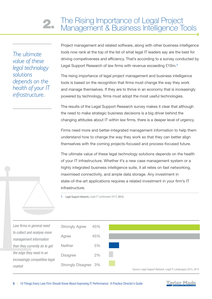*The ultimate value of these legal technology solutions depends on the health of your IT infrastructure.*

*Law firms in general need to collect and analyse more management information* 

*than they currently do to get* 

*the edge they need in an* 

*market*

Project management and related software, along with other business intelligence tools now rank at the top of the list of what legal IT leaders say are the best for driving competiveness and efficiency. That's according to a survey conducted by Legal Support Research of law firms with revenue exceeding £10m.<sup>3</sup>

The rising importance of legal project management and business intelligence tools is based on the recognition that firms must change the way they work and manage themselves. If they are to thrive in an economy that is increasingly powered by technology, firms must adopt the most useful technologies.

The results of the Legal Support Research survey makes it clear that although the need to make strategic business decisions is a big driver behind the changing attitudes about IT within law firms, there is a deeper level of urgency.

Firms need more and better-integrated management information to help them understand how to change the way they work so that they can better align themselves with the coming projects-focused and process-focused future.

The ultimate value of these legal technology solutions depends on the health of your IT infrastructure. Whether it's a new case management system or a highly integrated business intelligence suite, it all relies on fast networking, maximised connectivity, and ample data storage. Any investment in state-of-the-art applications requires a related investment in your firm's IT infrastructure.

3 Legal Support Network, [Legal IT Landscapes 2015](http://www.legalsupportnetwork.co.uk/technology/resources/sme-legal-it-landscapes-2015-report), 2015.



*increasingly competitive legal* 

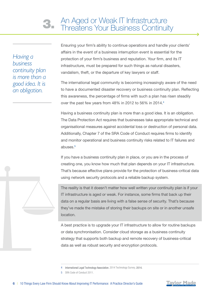*Having a business continuity plan is more than a good idea. It is an obligation.*

Ensuring your firm's ability to continue operations and handle your clients' affairs in the event of a business interruption event is essential for the protection of your firm's business and reputation. Your firm, and its IT infrastructure, must be prepared for such things as natural disasters, vandalism, theft, or the departure of key lawyers or staff.

The international legal community is becoming increasingly aware of the need to have a documented disaster recovery or business continuity plan. Reflecting this awareness, the percentage of firms with such a plan has risen steadily over the past few years from 48% in 2012 to 56% in 2014.4

Having a business continuity plan is more than a good idea. It is an obligation. The Data Protection Act requires that businesses take appropriate technical and organisational measures against accidental loss or destruction of personal data. Additionally, Chapter 7 of the SRA Code of Conduct requires firms to identify and monitor operational and business continuity risks related to IT failures and abuses.5

If you have a business continuity plan in place, or you are in the process of creating one, you know how much that plan depends on your IT infrastructure. That's because effective plans provide for the protection of business-critical data using network security protocols and a reliable backup system.

The reality is that it doesn't matter how well written your continuity plan is if your IT infrastructure is aged or weak. For instance, some firms that back up their data on a regular basis are living with a false sense of security. That's because they've made the mistake of storing their backups on site or in another unsafe location.

A best practice is to upgrade your IT infrastructure to allow for routine backups or data synchronisation. Consider cloud storage as a business continuity strategy that supports both backup and remote recovery of business-critical data as well as robust security and encryption protocols.





<sup>4</sup> International Legal Technology Association, [2014 Technology Survey,](http://www.iltanet.org/MainMenuCategory/Publications/WhitePapersandSurveys/2014-Technology-Survey.html) 2014.

<sup>5</sup> [SRA Code of Conduct 2011.](http://www.sra.org.uk/solicitors/handbook/code/content.page)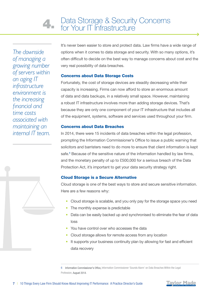*The downside of managing a growing number of servers within an aging IT infrastructure environment is the increasing financial and time costs associated with maintaining an internal IT team.* It's never been easier to store and protect data. Law firms have a wide range of options when it comes to data storage and security. With so many options, it's often difficult to decide on the best way to manage concerns about cost and the very real possibility of data breaches.

### Concerns about Data Storage Costs

Fortunately, the cost of storage devices are steadily decreasing while their capacity is increasing. Firms can now afford to store an enormous amount of data and data backups, in a relatively small space. However, maintaining a robust IT infrastructure involves more than adding storage devices. That's because they are only one component of your IT infrastructure that includes all of the equipment, systems, software and services used throughout your firm.

### Concerns about Data Breaches

In 2014, there were 15 incidents of data breaches within the legal profession, prompting the Information Commissioner's Office to issue a public warning that solicitors and barristers need to do more to ensure that client information is kept safe.<sup>6</sup> Because of the sensitive nature of the information handled by law firms, and the monetary penalty of up to £500,000 for a serious breach of the Data Protection Act, it's important to get your data security strategy right.

### Cloud Storage is a Secure Alternative

Cloud storage is one of the best ways to store and secure sensitive information. Here are a few reasons why:

- Cloud storage is scalable, and you only pay for the storage space you need
- The monthly expense is predictable
- Data can be easily backed up and synchronised to eliminate the fear of data loss
- You have control over who accesses the data
- Cloud storage allows for remote access from any location
- It supports your business continuity plan by allowing for fast and efficient data recovery

6 Information Commissioner's Office, [Information Commissioner 'Sounds Alarm' on Data Breaches](https://ico.org.uk/about-the-ico/news-and-events/news-and-blogs/2014/08/information-commissioner-sounds-the-alarm-on-data-breaches-within-the-legal-profession/) Within the Legal Profession, August 2014.



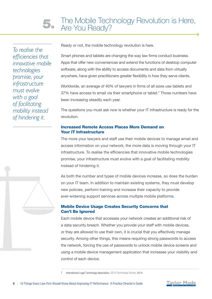*To realise the efficiencies that innovative mobile technologies promise, your infrastructure must evolve with a goal of facilitating mobility instead of hindering it.*

Ready or not, the mobile technology revolution is here.

Smart phones and tablets are changing the way law firms conduct business. Apps that offer new conveniences and extend the functions of desktop computer software, along with the ability to access documents and data from virtually anywhere, have given practitioners greater flexibility in how they serve clients.

Worldwide, an average of 40% of lawyers in firms of all sizes use tablets and 37% have access to email via their smartphone or tablet.<sup>7</sup> Those numbers have been increasing steadily each year.

The questions you must ask now is whether your IT infrastructure is ready for the revolution.

### Increased Remote Access Places More Demand on Your IT Infrastructure

The more your lawyers and staff use their mobile devices to manage email and access information on your network, the more data is moving through your IT infrastructure. To realise the efficiencies that innovative mobile technologies promise, your infrastructure must evolve with a goal of facilitating mobility instead of hindering it.

As both the number and types of mobile devices increase, so does the burden on your IT team. In addition to maintain existing systems, they must develop new policies, perform training and increase their capacity to provide ever-widening support services across multiple mobile platforms.

### Mobile Device Usage Creates Security Concerns that Can't Be Ignored

Each mobile device that accesses your network creates an additional risk of a data security breach. Whether you provide your staff with mobile devices, or they are allowed to use their own, it is crucial that you effectively manage security. Among other things, this means requiring strong passwords to access the network, forcing the use of passwords to unlock mobile device screens and using a mobile device management application that increases your visibility and control of each device.

7 International Legal Technology Association, 2014 [Technology Survey](http://www.iltanet.org/MainMenuCategory/Publications/WhitePapersandSurveys/2014-Technology-Survey.html), 2014.

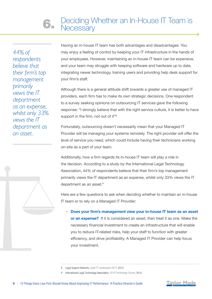*44% of respondents believe that their firm's top management primarily views the IT department as an expense, whilst only 33% views the IT department as an asset.*

Having an in-house IT team has both advantages and disadvantages. You may enjoy a feeling of control by keeping your IT infrastructure in the hands of your employees. However, maintaining an in-house IT team can be expensive, and your team may struggle with keeping software and hardware up to date, integrating newer technology, training users and providing help desk support for your firm's staff.

Although there is a general attitude shift towards a greater use of managed IT providers, each firm has to make its own strategic decisions. One respondent to a survey seeking opinions on outsourcing IT services gave the following response: "I strongly believe that with the right service culture, it is better to have support in the firm, not out of it"<sup>8</sup>

Fortunately, outsourcing doesn't necessarily mean that your Managed IT Provider will be managing your systems remotely. The right provider will offer the level of service you need, which could include having their technicians working on-site as a part of your team.

Additionally, how a firm regards its in-house IT team will play a role in the decision. According to a study by the International Legal Technology Association, 44% of respondents believe that their firm's top management primarily views the IT department as an expense, whilst only 33% views the IT department as an asset.<sup>9</sup>

Here are a few questions to ask when deciding whether to maintain an in-house IT team or to rely on a Managed IT Provider:

• Does your firm's management view your in-house IT team as an asset or an expense? If it is considered an asset, then treat it as one. Make the necessary financial investment to create an infrastructure that will enable you to reduce IT-related risks, help your staff to function with greater efficiency, and drive profitability. A Managed IT Provider can help focus your investment.



<sup>8</sup> Legal Support Network, [Legal IT Landscapes 2015](http://www.legalsupportnetwork.co.uk/technology/resources/sme-legal-it-landscapes-2015-report), 2015.

<sup>9</sup> International Legal Technology Association, [2014 Technology Survey](http://www.iltanet.org/MainMenuCategory/Publications/WhitePapersandSurveys/2014-Technology-Survey.html), 2014.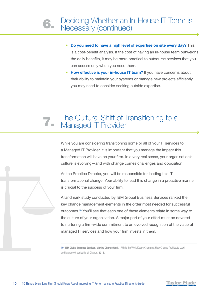- Do you need to have a high level of expertise on site every day? This is a cost-benefit analysis. If the cost of having an in-house team outweighs the daily benefits, it may be more practical to outsource services that you can access only when you need them.
- How effective is your in-house IT team? If you have concerns about their ability to maintain your systems or manage new projects efficiently, you may need to consider seeking outside expertise.

# The Cultural Shift of Transitioning to a 7. Managed IT Provider

While you are considering transitioning some or all of your IT services to a Managed IT Provider, it is important that you manage the impact this transformation will have on your firm. In a very real sense, your organisation's culture is evolving—and with change comes challenges and opposition.

As the Practice Director, you will be responsible for leading this IT transformational change. Your ability to lead this change in a proactive manner is crucial to the success of your firm.

A landmark study conducted by IBM Global Business Services ranked the key change management elements in the order most needed for successful outcomes.10 You'll see that each one of these elements relate in some way to the culture of your organisation. A major part of your effort must be devoted to nurturing a firm-wide commitment to an evolved recognition of the value of managed IT services and how your firm invests in them.

10 IBM Global Business Services, Making Change Work…While the [Work Keeps Changing, How Change](http://www-935.ibm.com/services/us/gbs/bus/html/gbs-making-change-work.html) Architects Lead and [Manage Organizational Chan](http://www-935.ibm.com/services/us/gbs/bus/html/gbs-making-change-work.html)ge, 2014.



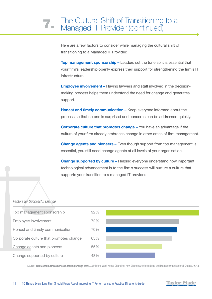# The Cultural Shift of Transitioning to a<br>Managed IT Provider (continued)

Here are a few factors to consider while managing the cultural shift of transitioning to a Managed IT Provider:

Top management sponsorship – Leaders set the tone so it is essential that your firm's leadership openly express their support for strengthening the firm's IT infrastructure.

Employee involvement – Having lawyers and staff involved in the decisionmaking process helps them understand the need for change and generates support.

Honest and timely communication – Keep everyone informed about the process so that no one is surprised and concerns can be addressed quickly.

Corporate culture that promotes change – You have an advantage if the culture of your firm already embraces change in other areas of firm management.

Change agents and pioneers – Even though support from top management is essential, you still need change agents at all levels of your organisation.

Change supported by culture – Helping everyone understand how important technological advancement is to the firm's success will nurture a culture that supports your transition to a managed IT provider.

### *Factors for Successful Change*



Source: IBM Global Business Services, Making Change Work…While the Work Keeps Changing, How Change Architects Lead and Manage Organizational Change, 2014.

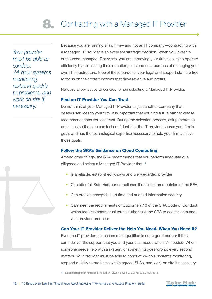*Your provider must be able to conduct 24-hour systems monitoring, respond quickly to problems, and work on site if necessary.*

Because you are running a law firm—and not an IT company—contracting with a Managed IT Provider is an excellent strategic decision. When you invest in outsourced managed IT services, you are improving your firm's ability to operate efficiently by eliminating the distraction, time and cost burdens of managing your own IT infrastructure. Free of these burdens, your legal and support staff are free to focus on their core functions that drive revenue and profits.

Here are a few issues to consider when selecting a Managed IT Provider.

### Find an IT Provider You Can Trust

Do not think of your Managed IT Provider as just another company that delivers services to your firm. It is important that you find a true partner whose recommendations you can trust. During the selection process, ask penetrating questions so that you can feel confident that the IT provider shares your firm's goals and has the technological expertise necessary to help your firm achieve those goals.

### Follow the SRA's Guidance on Cloud Computing

Among other things, the SRA recommends that you perform adequate due diligence and select a Managed IT Provider that:11

- Is a reliable, established, known and well-regarded provider
- Can offer full Safe Harbour compliance if data is stored outside of the EEA
- Can provide acceptable up time and audited information security
- Can meet the requirements of Outcome 7.10 of the SRA Code of Conduct, which requires contractual terms authorising the SRA to access data and visit provider premises

### Can Your IT Provider Deliver the Help You Need, When You Need It?

Even the IT provider that seems most qualified is not a good partner if they can't deliver the support that you and your staff needs when it's needed. When someone needs help with a system, or something goes wrong, every second matters. Your provider must be able to conduct 24-hour systems monitoring, respond quickly to problems within agreed SLAs, and work on site if necessary.

11 Solicitors Regulation Authority, Silver Linings: [Cloud Computing, Law Firms,](http://sra.org.uk/risk/resources/cloud-computing-law-firms-risk.page) and Risk, 2013.

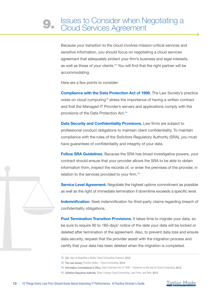Because your transition to the cloud involves mission-critical services and sensitive information, you should focus on negotiating a cloud services agreement that adequately protect your firm's business and legal interests, as well as those of your clients.12 You will find that the right partner will be accommodating.

Here are a few points to consider:

Compliance with the Data Protection Act of 1998. The Law Society's practice notes on cloud computing<sup>13</sup> stress the importance of having a written contract and that the Managed IT Provider's servers and applications comply with the provisions of the Data Protection Act.14

Data Security and Confidentiality Provisions. Law firms are subject to professional conduct obligations to maintain client confidentiality. To maintain compliance with the rules of the Solicitors Regulatory Authority (SRA), you must have guarantees of confidentiality and integrity of your data.

Follow SRA Guidelines. Because the SRA has broad investigative powers, your contract should ensure that your provider allows the SRA to be able to obtain information from, inspect the records of, or enter the premises of the provider, in relation to the services provided to your firm.15

Service Level Agreement. Negotiate the highest uptime commitment as possible as well as the right of immediate termination if downtime exceeds a specific level.

Indemnification. Seek indemnification for third-party claims regarding breach of confidentiality obligations.

Post Termination Transition Provisions. It takes time to migrate your data, so be sure to require 90 to 180-days' notice of the date your data will be locked or deleted after termination of the agreement. Also, to prevent data loss and ensure data security, request that the provider assist with the migration process and certify that your data has been deleted when the migration is completed.

- 14 Information Commissioner's Office, Data Protection [Act of 1998 Guidance on the Use of Cloud Computing,](https://ico.org.uk//for-organisations/guide-to-data-protection/) 2012.
- 15 Solicitors Regulation Authority, Silver Linings: [Cloud Computing, Law Firms,](http://sra.org.uk/risk/resources/cloud-computing-law-firms-risk.page) and Risk, 2013



<sup>12</sup> CIO, [How to Negotiate a Better Cloud Computing Contract,](http://www.cio.com/article/2418801/outsourcing/how-to-negotiate-a-better-cloud-computing-contract.html) 2010.

<sup>13</sup> The Law Society, Practice Notes - Cloud Computing, 2014.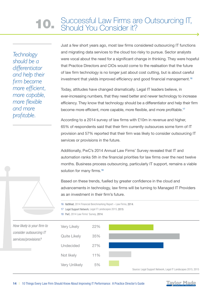# **10.** Successful Law Firms are Outsourcing IT,<br>Should You Consider it?

*Technology should be a differentiator and help their firm become more efficient, more capable, more flexible and more profitable.*

Just a few short years ago, most law firms considered outsourcing IT functions and migrating data services to the cloud too risky to pursue. Sector analysts were vocal about the need for a significant change in thinking. They were hopeful that Practice Directors and CIOs would come to the realisation that the future of law firm technology is no longer just about cost cutting, but is about careful investment that yields improved efficiency and good financial management.<sup>16</sup>

Today, attitudes have changed dramatically. Legal IT leaders believe, in ever-increasing numbers, that they need better and newer technology to increase efficiency. They know that technology should be a differentiator and help their firm become more efficient, more capable, more flexible, and more profitable.<sup>17</sup>

According to a 2014 survey of law firms with £10m in revenue and higher, 65% of respondents said that their firm currently outsources some form of IT provision and 57% reported that their firm was likely to consider outsourcing IT services or provisions in the future.

Additionally, PwC's 2014 Annual Law Firms' Survey revealed that IT and automation ranks 5th in the financial priorities for law firms over the next twelve months. Business process outsourcing, particularly IT support, remains a viable solution for many firms.<sup>18</sup>

Based on these trends, fuelled by greater confidence in the cloud and advancements in technology, law firms will be turning to Managed IT Providers as an investment in their firm's future.



- 17 Legal Support Network, [Legal IT Landscapes 2015](http://www.legalsupportnetwork.co.uk/technology/resources/sme-legal-it-landscapes-2015-report), 2015.
- 18 PwC, [2014 Law Firms' Survey](http://www.pwc.co.uk/business-services/law-firms/the-importance-of-business-support-in-the-legal-sector.jhtml), 2014.





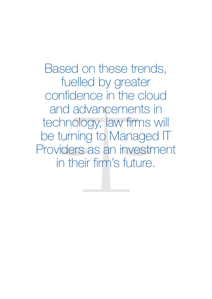Based on these trends, fuelled by greater confidence in the cloud and advancements in technology, law firms will be turning to Managed IT Providers as an investment in their firm's future.